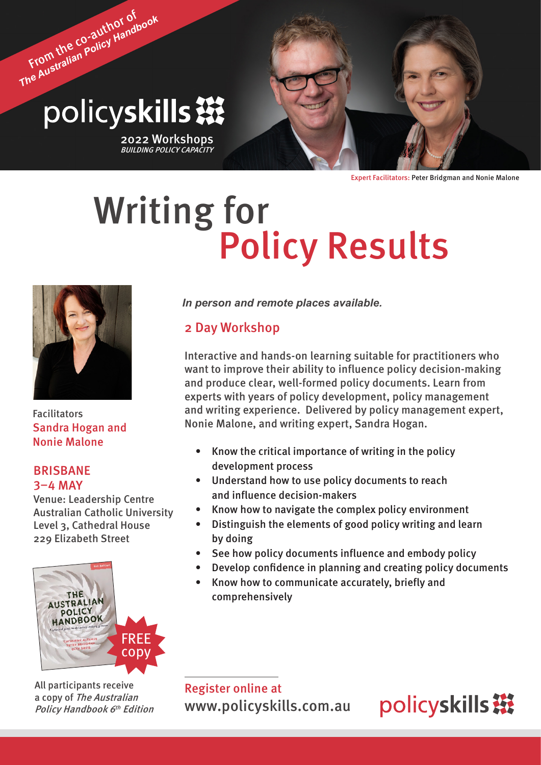# From the co-author of *The Australian Policy Handbook* policyskills ※

2022 Workshops<br>*BUILDING POLICY CAPACITY* 

Expert Facilitators: Peter Bridgman and Nonie Malone

# Writing for<br>Policy Results



Facilitators Sandra Hogan and Nonie Malone

# BRISBANE 3–4 MAY

Venue: Leadership Centre Australian Catholic University Level 3, Cathedral House 229 Elizabeth Street



All participants receive a copy of The Australian Policy Handbook 6<sup>th</sup> Edition

*In person and remote places available.*

# 2 Day Workshop

Interactive and hands-on learning suitable for practitioners who want to improve their ability to influence policy decision-making and produce clear, well-formed policy documents. Learn from experts with years of policy development, policy management and writing experience. Delivered by policy management expert, Nonie Malone, and writing expert, Sandra Hogan.

- Know the critical importance of writing in the policy development process
- Understand how to use policy documents to reach and influence decision-makers
- Know how to navigate the complex policy environment
- Distinguish the elements of good policy writing and learn by doing
- See how policy documents influence and embody policy
- Develop confidence in planning and creating policy documents
- Know how to communicate accurately, briefly and comprehensively

Register online at [www.policyskills.com.au](http://www.policyskills.com.au)